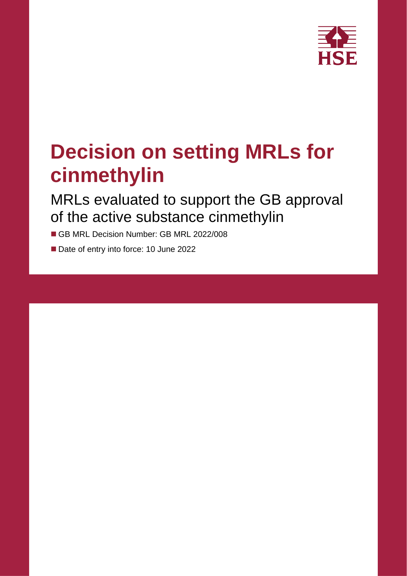

# **Decision on setting MRLs for cinmethylin**

MRLs evaluated to support the GB approval of the active substance cinmethylin

GB MRL Decision Number: GB MRL 2022/008

Date of entry into force: 10 June 2022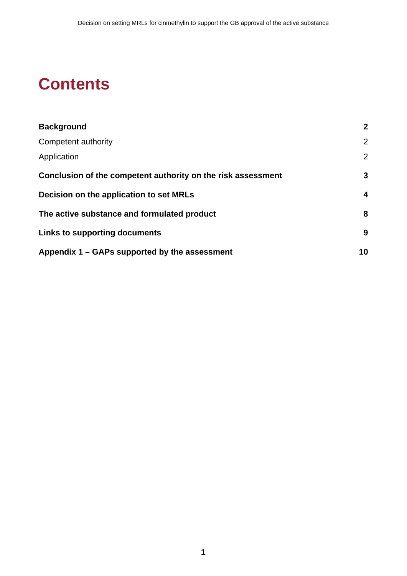### **Contents**

| <b>Background</b>                                            | $\mathbf{2}$ |
|--------------------------------------------------------------|--------------|
| Competent authority                                          | 2            |
| Application                                                  | 2            |
| Conclusion of the competent authority on the risk assessment | 3            |
| Decision on the application to set MRLs                      | 4            |
| The active substance and formulated product                  | 8            |
| Links to supporting documents                                | 9            |
| Appendix 1 – GAPs supported by the assessment                | 10           |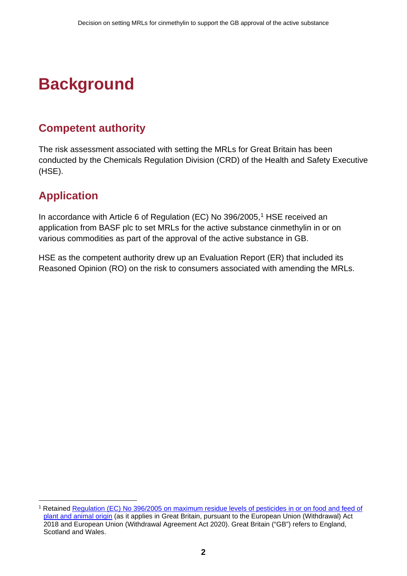# <span id="page-3-0"></span>**Background**

### <span id="page-3-1"></span>**Competent authority**

The risk assessment associated with setting the MRLs for Great Britain has been conducted by the Chemicals Regulation Division (CRD) of the Health and Safety Executive (HSE).

### <span id="page-3-2"></span>**Application**

In accordance with Article 6 of Regulation (EC) No 396/2005, [1](#page-3-3) HSE received an application from BASF plc to set MRLs for the active substance cinmethylin in or on various commodities as part of the approval of the active substance in GB.

HSE as the competent authority drew up an Evaluation Report (ER) that included its Reasoned Opinion (RO) on the risk to consumers associated with amending the MRLs.

<span id="page-3-3"></span><sup>1</sup> Retained [Regulation \(EC\) No 396/2005 on maximum residue levels of pesticides in or on food and feed of](https://www.legislation.gov.uk/eur/2005/396/contents)  [plant and animal origin](https://www.legislation.gov.uk/eur/2005/396/contents) (as it applies in Great Britain, pursuant to the European Union (Withdrawal) Act 2018 and European Union (Withdrawal Agreement Act 2020). Great Britain ("GB") refers to England, Scotland and Wales.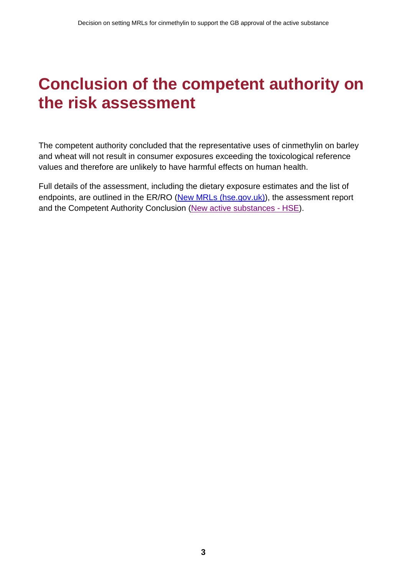### <span id="page-4-0"></span>**Conclusion of the competent authority on the risk assessment**

The competent authority concluded that the representative uses of cinmethylin on barley and wheat will not result in consumer exposures exceeding the toxicological reference values and therefore are unlikely to have harmful effects on human health.

Full details of the assessment, including the dietary exposure estimates and the list of endpoints, are outlined in the ER/RO [\(New MRLs \(hse.gov.uk\)\)](https://www.hse.gov.uk/pesticides/mrls/new-mrls.htm#_Search_for_evaluation), the assessment report and the Competent Authority Conclusion [\(New active substances - HSE\)](https://www.hse.gov.uk/pesticides/pesticides-registration/active-substances-new.htm).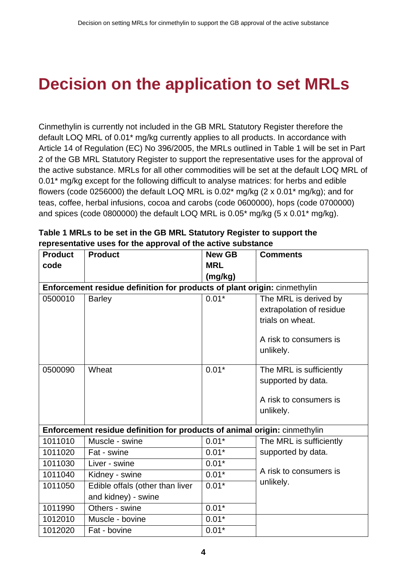### <span id="page-5-0"></span>**Decision on the application to set MRLs**

Cinmethylin is currently not included in the GB MRL Statutory Register therefore the default LOQ MRL of 0.01\* mg/kg currently applies to all products. In accordance with Article 14 of Regulation (EC) No 396/2005, the MRLs outlined in Table 1 will be set in Part 2 of the GB MRL Statutory Register to support the representative uses for the approval of the active substance. MRLs for all other commodities will be set at the default LOQ MRL of 0.01<sup>\*</sup> mg/kg except for the following difficult to analyse matrices: for herbs and edible flowers (code 0256000) the default LOQ MRL is  $0.02^*$  mg/kg  $(2 \times 0.01^*$  mg/kg); and for teas, coffee, herbal infusions, cocoa and carobs (code 0600000), hops (code 0700000) and spices (code 0800000) the default LOQ MRL is 0.05\* mg/kg (5 x 0.01\* mg/kg).

| <b>Product</b> | <b>Product</b>                                                            | <b>New GB</b> | <b>Comments</b>          |
|----------------|---------------------------------------------------------------------------|---------------|--------------------------|
| code           |                                                                           | <b>MRL</b>    |                          |
|                |                                                                           | (mg/kg)       |                          |
|                | Enforcement residue definition for products of plant origin: cinmethylin  |               |                          |
| 0500010        | <b>Barley</b>                                                             | $0.01*$       | The MRL is derived by    |
|                |                                                                           |               | extrapolation of residue |
|                |                                                                           |               | trials on wheat.         |
|                |                                                                           |               | A risk to consumers is   |
|                |                                                                           |               | unlikely.                |
|                |                                                                           |               |                          |
| 0500090        | Wheat                                                                     | $0.01*$       | The MRL is sufficiently  |
|                |                                                                           |               | supported by data.       |
|                |                                                                           |               |                          |
|                |                                                                           |               | A risk to consumers is   |
|                |                                                                           |               | unlikely.                |
|                | Enforcement residue definition for products of animal origin: cinmethylin |               |                          |
| 1011010        | Muscle - swine                                                            | $0.01*$       | The MRL is sufficiently  |
| 1011020        | Fat - swine                                                               | $0.01*$       | supported by data.       |
| 1011030        | Liver - swine                                                             | $0.01*$       |                          |
| 1011040        | Kidney - swine                                                            | $0.01*$       | A risk to consumers is   |
| 1011050        | Edible offals (other than liver                                           | $0.01*$       | unlikely.                |
|                | and kidney) - swine                                                       |               |                          |
| 1011990        | Others - swine                                                            | $0.01*$       |                          |
| 1012010        | Muscle - bovine                                                           | $0.01*$       |                          |
| 1012020        | Fat - bovine                                                              | $0.01*$       |                          |

**Table 1 MRLs to be set in the GB MRL Statutory Register to support the representative uses for the approval of the active substance**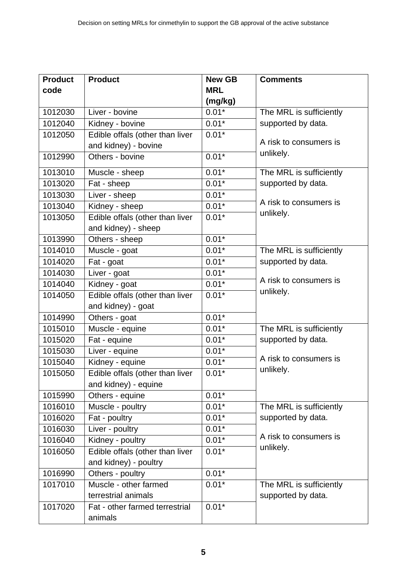| <b>Product</b> | <b>Product</b>                  | <b>Comments</b> |                                     |  |  |
|----------------|---------------------------------|-----------------|-------------------------------------|--|--|
| code           |                                 | <b>MRL</b>      |                                     |  |  |
|                |                                 | (mg/kg)         |                                     |  |  |
| 1012030        | Liver - bovine                  | $0.01*$         | The MRL is sufficiently             |  |  |
| 1012040        | Kidney - bovine                 | $0.01*$         | supported by data.                  |  |  |
| 1012050        | Edible offals (other than liver | $0.01*$         |                                     |  |  |
|                | and kidney) - bovine            |                 | A risk to consumers is              |  |  |
| 1012990        | Others - bovine                 | $0.01*$         | unlikely.                           |  |  |
| 1013010        | Muscle - sheep                  | $0.01*$         | The MRL is sufficiently             |  |  |
| 1013020        | Fat - sheep                     | $0.01*$         | supported by data.                  |  |  |
| 1013030        | Liver - sheep                   | $0.01*$         |                                     |  |  |
| 1013040        | Kidney - sheep                  | $0.01*$         | A risk to consumers is              |  |  |
| 1013050        | Edible offals (other than liver | $0.01*$         | unlikely.                           |  |  |
|                | and kidney) - sheep             |                 |                                     |  |  |
| 1013990        | Others - sheep                  | $0.01*$         |                                     |  |  |
| 1014010        | Muscle - goat                   | $0.01*$         | The MRL is sufficiently             |  |  |
| 1014020        | Fat - goat                      | $0.01*$         | supported by data.                  |  |  |
| 1014030        | Liver - goat                    | $0.01*$         |                                     |  |  |
| 1014040        | Kidney - goat                   | $0.01*$         | A risk to consumers is              |  |  |
| 1014050        | Edible offals (other than liver | unlikely.       |                                     |  |  |
|                | and kidney) - goat              |                 |                                     |  |  |
| 1014990        | Others - goat                   | $0.01*$         |                                     |  |  |
| 1015010        | Muscle - equine                 | $0.01*$         | The MRL is sufficiently             |  |  |
| 1015020        | Fat - equine                    | $0.01*$         | supported by data.                  |  |  |
| 1015030        | Liver - equine                  | $0.01*$         |                                     |  |  |
| 1015040        | Kidney - equine                 | $0.01*$         | A risk to consumers is<br>unlikely. |  |  |
| 1015050        | Edible offals (other than liver | $0.01*$         |                                     |  |  |
|                | and kidney) - equine            |                 |                                     |  |  |
| 1015990        | Others - equine                 | $0.01*$         |                                     |  |  |
| 1016010        | Muscle - poultry                | $0.01*$         | The MRL is sufficiently             |  |  |
| 1016020        | Fat - poultry                   | $0.01*$         | supported by data.                  |  |  |
| 1016030        | Liver - poultry                 | $0.01*$         |                                     |  |  |
| 1016040        | Kidney - poultry                | $0.01*$         | A risk to consumers is              |  |  |
| 1016050        | Edible offals (other than liver | $0.01*$         | unlikely.                           |  |  |
|                | and kidney) - poultry           |                 |                                     |  |  |
| 1016990        | Others - poultry                | $0.01*$         |                                     |  |  |
| 1017010        | Muscle - other farmed           | $0.01*$         | The MRL is sufficiently             |  |  |
|                | terrestrial animals             |                 | supported by data.                  |  |  |
| 1017020        | Fat - other farmed terrestrial  | $0.01*$         |                                     |  |  |
|                | animals                         |                 |                                     |  |  |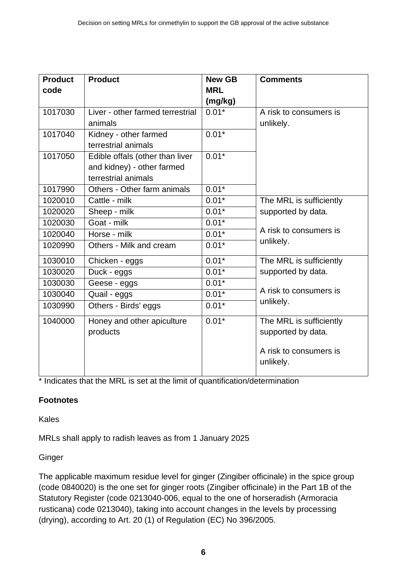| <b>Product</b><br>code | <b>Product</b>                                                                       | <b>New GB</b><br><b>MRL</b><br>(mg/kg) | <b>Comments</b>                                                                      |
|------------------------|--------------------------------------------------------------------------------------|----------------------------------------|--------------------------------------------------------------------------------------|
| 1017030                | Liver - other farmed terrestrial<br>animals                                          | $0.01*$                                | A risk to consumers is<br>unlikely.                                                  |
| 1017040                | Kidney - other farmed<br>terrestrial animals                                         | $0.01*$                                |                                                                                      |
| 1017050                | Edible offals (other than liver<br>and kidney) - other farmed<br>terrestrial animals | $0.01*$                                |                                                                                      |
| 1017990                | Others - Other farm animals                                                          | $0.01*$                                |                                                                                      |
| 1020010                | Cattle - milk                                                                        | $0.01*$                                | The MRL is sufficiently                                                              |
| 1020020                | Sheep - milk                                                                         | $0.01*$                                | supported by data.                                                                   |
| 1020030                | Goat - milk                                                                          | $0.01*$                                |                                                                                      |
| 1020040                | Horse - milk                                                                         | $0.01*$                                | A risk to consumers is                                                               |
| 1020990                | Others - Milk and cream                                                              | $0.01*$                                | unlikely.                                                                            |
| 1030010                | Chicken - eggs                                                                       | $0.01*$                                | The MRL is sufficiently                                                              |
| 1030020                | Duck - eggs                                                                          | $0.01*$                                | supported by data.                                                                   |
| 1030030                | Geese - eggs                                                                         | $0.01*$                                |                                                                                      |
| 1030040                | Quail - eggs                                                                         | $0.01*$                                | A risk to consumers is                                                               |
| 1030990                | Others - Birds' eggs                                                                 | $0.01*$                                | unlikely.                                                                            |
| 1040000                | Honey and other apiculture<br>products                                               | $0.01*$                                | The MRL is sufficiently<br>supported by data.<br>A risk to consumers is<br>unlikely. |

\* Indicates that the MRL is set at the limit of quantification/determination

#### **Footnotes**

Kales

MRLs shall apply to radish leaves as from 1 January 2025

#### **Ginger**

The applicable maximum residue level for ginger (Zingiber officinale) in the spice group (code 0840020) is the one set for ginger roots (Zingiber officinale) in the Part 1B of the Statutory Register (code 0213040-006, equal to the one of horseradish (Armoracia rusticana) code 0213040), taking into account changes in the levels by processing (drying), according to Art. 20 (1) of Regulation (EC) No 396/2005.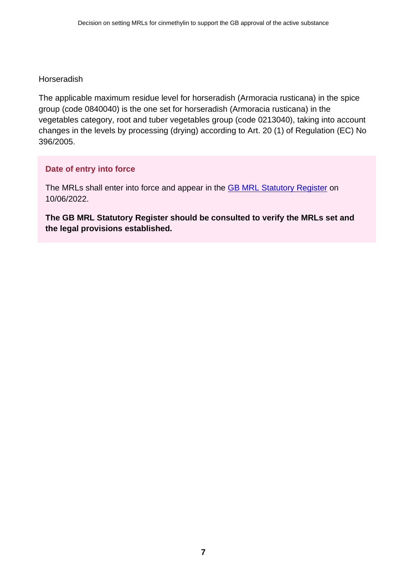#### Horseradish

The applicable maximum residue level for horseradish (Armoracia rusticana) in the spice group (code 0840040) is the one set for horseradish (Armoracia rusticana) in the vegetables category, root and tuber vegetables group (code 0213040), taking into account changes in the levels by processing (drying) according to Art. 20 (1) of Regulation (EC) No 396/2005.

#### **Date of entry into force**

The MRLs shall enter into force and appear in the **GB [MRL Statutory Register](https://secure.pesticides.gov.uk/MRLs/Main)** on 10/06/2022.

**The GB MRL Statutory Register should be consulted to verify the MRLs set and the legal provisions established.**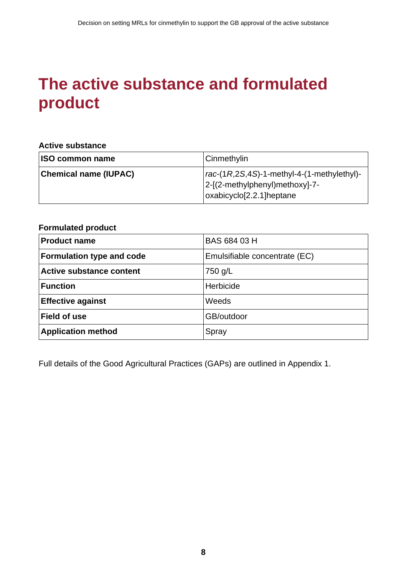### <span id="page-9-0"></span>**The active substance and formulated product**

#### **Active substance**

| <b>ISO common name</b>       | Cinmethylin                                                                                                                        |
|------------------------------|------------------------------------------------------------------------------------------------------------------------------------|
| <b>Chemical name (IUPAC)</b> | $rac{1}{2}$ rac-(1R,2S,4S)-1-methyl-4-(1-methylethyl)-<br> 2-[(2-methylphenyl)methoxy]-7-<br>oxabicyclo <sup>[2.2.1]</sup> heptane |

#### **Formulated product**

| <b>Product name</b>              | BAS 684 03 H                  |
|----------------------------------|-------------------------------|
| <b>Formulation type and code</b> | Emulsifiable concentrate (EC) |
| <b>Active substance content</b>  | 750 g/L                       |
| <b>Function</b>                  | Herbicide                     |
| <b>Effective against</b>         | Weeds                         |
| <b>Field of use</b>              | GB/outdoor                    |
| <b>Application method</b>        | Spray                         |

Full details of the Good Agricultural Practices (GAPs) are outlined in Appendix 1.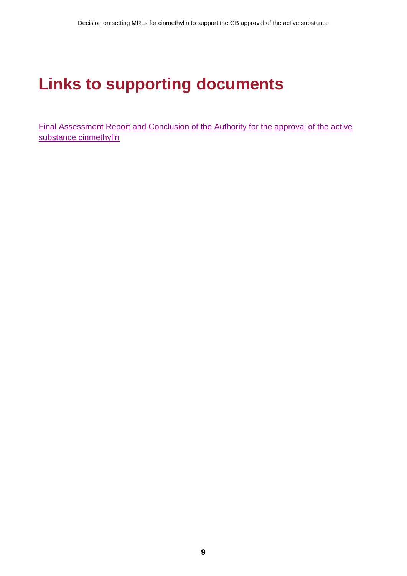# <span id="page-10-0"></span>**Links to supporting documents**

[Final Assessment Report and Conclusion of the Authority](https://www.hse.gov.uk/pesticides/pesticides-registration/active-substances-new.htm) for the approval of the active substance cinmethylin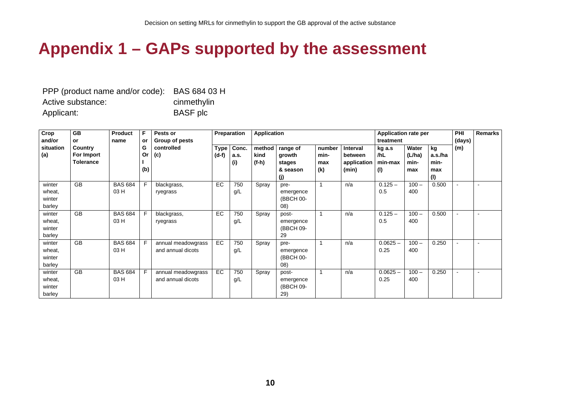### **Appendix 1 – GAPs supported by the assessment**

| PPP (product name and/or code): BAS 684 03 H |                 |
|----------------------------------------------|-----------------|
| Active substance:                            | cinmethylin     |
| Applicant:                                   | <b>BASF</b> plc |

<span id="page-11-0"></span>

| Crop      | <b>GB</b>        | <b>Product</b> | F   | Pests or           |             | Preparation | <b>Application</b> |           |        |             | <b>Application rate per</b> |         |         | PHI    | <b>Remarks</b> |
|-----------|------------------|----------------|-----|--------------------|-------------|-------------|--------------------|-----------|--------|-------------|-----------------------------|---------|---------|--------|----------------|
| and/or    | or               | name           | or  | Group of pests     |             |             |                    |           |        |             | treatment                   |         |         | (days) |                |
| situation | Country          |                | G   | controlled         | <b>Type</b> | Conc.       | method             | range of  | number | Interval    | kg a.s                      | Water   | kg      | (m)    |                |
| (a)       | For Import       |                | Or  | (c)                | $(d-f)$     | a.s.        | kind               | growth    | min-   | between     | /hL                         | (L/ha)  | a.s./ha |        |                |
|           | <b>Tolerance</b> |                |     |                    |             | (i)         | $(f-h)$            | stages    | max    | application | min-max                     | min-    | min-    |        |                |
|           |                  |                | (b) |                    |             |             |                    | & season  | (k)    | (min)       | (1)                         | max     | max     |        |                |
|           |                  |                |     |                    |             |             |                    | (j)       |        |             |                             |         | (1)     |        |                |
| winter    | <b>GB</b>        | <b>BAS 684</b> | F   | blackgrass,        | EC          | 750         | Spray              | pre-      |        | n/a         | $0.125 -$                   | $100 -$ | 0.500   |        |                |
| wheat,    |                  | 03 H           |     | ryegrass           |             | g/L         |                    | emergence |        |             | 0.5                         | 400     |         |        |                |
| winter    |                  |                |     |                    |             |             |                    | (BBCH 00- |        |             |                             |         |         |        |                |
| barley    |                  |                |     |                    |             |             |                    | (08)      |        |             |                             |         |         |        |                |
| winter    | <b>GB</b>        | <b>BAS 684</b> | F   | blackgrass,        | EC          | 750         | Spray              | post-     |        | n/a         | $0.125 -$                   | $100 -$ | 0.500   |        |                |
| wheat,    |                  | 03 H           |     | ryegrass           |             | g/L         |                    | emergence |        |             | 0.5                         | 400     |         |        |                |
| winter    |                  |                |     |                    |             |             |                    | (BBCH 09- |        |             |                             |         |         |        |                |
| barley    |                  |                |     |                    |             |             |                    | 29        |        |             |                             |         |         |        |                |
| winter    | <b>GB</b>        | <b>BAS 684</b> | E   | annual meadowgrass | EC          | 750         | Spray              | pre-      |        | n/a         | $0.0625 -$                  | $100 -$ | 0.250   |        |                |
| wheat,    |                  | 03 H           |     | and annual dicots  |             | g/L         |                    | emergence |        |             | 0.25                        | 400     |         |        |                |
| winter    |                  |                |     |                    |             |             |                    | (BBCH 00- |        |             |                             |         |         |        |                |
| barley    |                  |                |     |                    |             |             |                    | (08)      |        |             |                             |         |         |        |                |
| winter    | <b>GB</b>        | <b>BAS 684</b> |     | annual meadowgrass | EC          | 750         | Spray              | post-     |        | n/a         | $0.0625 -$                  | $100 -$ | 0.250   | $\sim$ |                |
| wheat,    |                  | 03 H           |     | and annual dicots  |             | g/L         |                    | emergence |        |             | 0.25                        | 400     |         |        |                |
| winter    |                  |                |     |                    |             |             |                    | (BBCH 09- |        |             |                             |         |         |        |                |
| barley    |                  |                |     |                    |             |             |                    | 29)       |        |             |                             |         |         |        |                |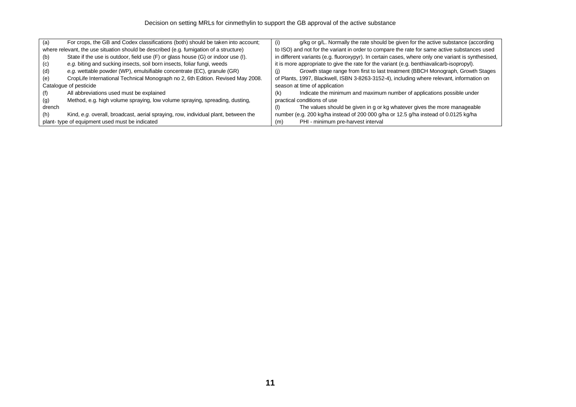| (a)    | For crops, the GB and Codex classifications (both) should be taken into account;       | g/kg or g/L. Normally the rate should be given for the active substance (according<br>(i)          |  |  |  |  |
|--------|----------------------------------------------------------------------------------------|----------------------------------------------------------------------------------------------------|--|--|--|--|
|        | where relevant, the use situation should be described (e.g. fumigation of a structure) | to ISO) and not for the variant in order to compare the rate for same active substances used       |  |  |  |  |
| (b)    | State if the use is outdoor, field use (F) or glass house (G) or indoor use (I).       | in different variants (e.g. fluoroxypyr). In certain cases, where only one variant is synthesised, |  |  |  |  |
| (c)    | e.g. biting and sucking insects, soil born insects, foliar fungi, weeds                | it is more appropriate to give the rate for the variant (e.g. benthiavalicarb-isopropyl).          |  |  |  |  |
| (d)    | e.g. wettable powder (WP), emulsifiable concentrate (EC), granule (GR)                 | Growth stage range from first to last treatment (BBCH Monograph, Growth Stages                     |  |  |  |  |
| (e)    | CropLife International Technical Monograph no 2, 6th Edition. Revised May 2008.        | of Plants, 1997, Blackwell, ISBN 3-8263-3152-4), including where relevant, information on          |  |  |  |  |
|        | Catalogue of pesticide                                                                 | season at time of application                                                                      |  |  |  |  |
|        | All abbreviations used must be explained                                               | Indicate the minimum and maximum number of applications possible under<br>(k)                      |  |  |  |  |
| (g)    | Method, e.g. high volume spraying, low volume spraying, spreading, dusting,            | practical conditions of use                                                                        |  |  |  |  |
| drench |                                                                                        | The values should be given in g or kg whatever gives the more manageable<br>(1)                    |  |  |  |  |
| (h)    | Kind, e.g. overall, broadcast, aerial spraying, row, individual plant, between the     | number (e.g. 200 kg/ha instead of 200 000 g/ha or 12.5 g/ha instead of 0.0125 kg/ha                |  |  |  |  |
|        | plant-type of equipment used must be indicated                                         | PHI - minimum pre-harvest interval<br>(m)                                                          |  |  |  |  |